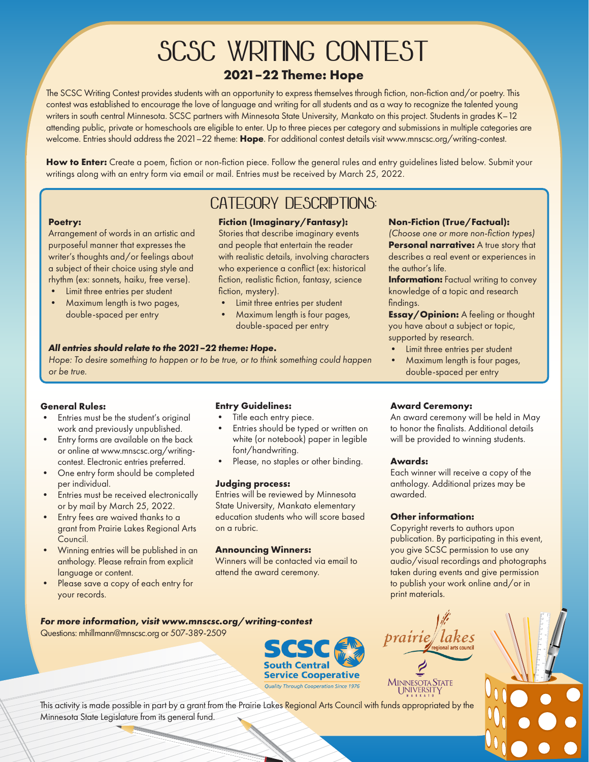# **SCSC WRITING CONTEST 2021–22 Theme: Hope**

The SCSC Writing Contest provides students with an opportunity to express themselves through fiction, non-fiction and/or poetry. This contest was established to encourage the love of language and writing for all students and as a way to recognize the talented young writers in south central Minnesota. SCSC partners with Minnesota State University, Mankato on this project. Students in grades K–12 attending public, private or homeschools are eligible to enter. Up to three pieces per category and submissions in multiple categories are welcome. Entries should address the 2021–22 theme: **Hope**. For additional contest details visit www.mnscsc.org/writing-contest.

**How to Enter:** Create a poem, fiction or non-fiction piece. Follow the general rules and entry guidelines listed below. Submit your writings along with an entry form via email or mail. Entries must be received by March 25, 2022.

#### **Poetry:**

Arrangement of words in an artistic and purposeful manner that expresses the writer's thoughts and/or feelings about a subject of their choice using style and rhythm (ex: sonnets, haiku, free verse).

- Limit three entries per student
- Maximum length is two pages, double-spaced per entry

### **Fiction (Imaginary/Fantasy): CATEGORY DESCRIPTIONS:**

Stories that describe imaginary events and people that entertain the reader with realistic details, involving characters who experience a conflict (ex: historical fiction, realistic fiction, fantasy, science fiction, mystery).

- Limit three entries per student
- Maximum length is four pages, double-spaced per entry

#### *All entries should relate to the 2021–22 theme: Hope.*

*Hope: To desire something to happen or to be true, or to think something could happen or be true.*

#### **General Rules:**

- Entries must be the student's original work and previously unpublished.
- Entry forms are available on the back or online at www.mnscsc.org/writingcontest. Electronic entries preferred.
- One entry form should be completed per individual.
- Entries must be received electronically or by mail by March 25, 2022.
- Entry fees are waived thanks to a grant from Prairie Lakes Regional Arts Council.
- Winning entries will be published in an anthology. Please refrain from explicit language or content.
- Please save a copy of each entry for your records.

#### **Entry Guidelines:**

- Title each entry piece.
- Entries should be typed or written on white (or notebook) paper in legible font/handwriting.
- Please, no staples or other binding.

#### **Judging process:**

Entries will be reviewed by Minnesota State University, Mankato elementary education students who will score based on a rubric.

#### **Announcing Winners:**

Winners will be contacted via email to attend the award ceremony.

#### **Non-Fiction (True/Factual):**

*(Choose one or more non-fiction types)* **Personal narrative:** A true story that describes a real event or experiences in the author's life.

**Information:** Factual writing to convey knowledge of a topic and research findings.

**Essay/Opinion:** A feeling or thought you have about a subject or topic, supported by research.

- Limit three entries per student
- Maximum length is four pages, double-spaced per entry

#### **Award Ceremony:**

An award ceremony will be held in May to honor the finalists. Additional details will be provided to winning students.

#### **Awards:**

Each winner will receive a copy of the anthology. Additional prizes may be awarded.

#### **Other information:**

Copyright reverts to authors upon publication. By participating in this event, you give SCSC permission to use any audio/visual recordings and photographs taken during events and give permission to publish your work online and/or in print materials.



Questions: mhillmann@mnscsc.org or 507-389-2509





This activity is made possible in part by a grant from the Prairie Lakes Regional Arts Council with funds appropriated by the Minnesota State Legislature from its general fund.